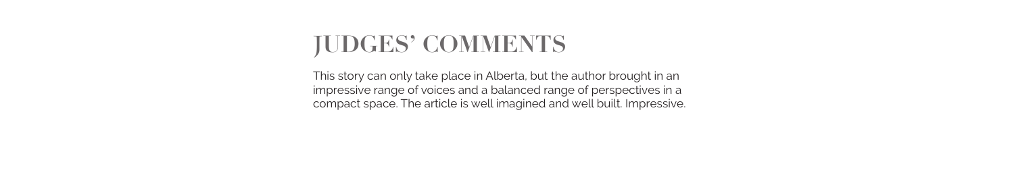## **JUDGES' COMMENTS**

This story can only take place in Alberta, but the author brought in an impressive range of voices and a balanced range of perspectives in a compact space. The article is well imagined and well built. Impressive.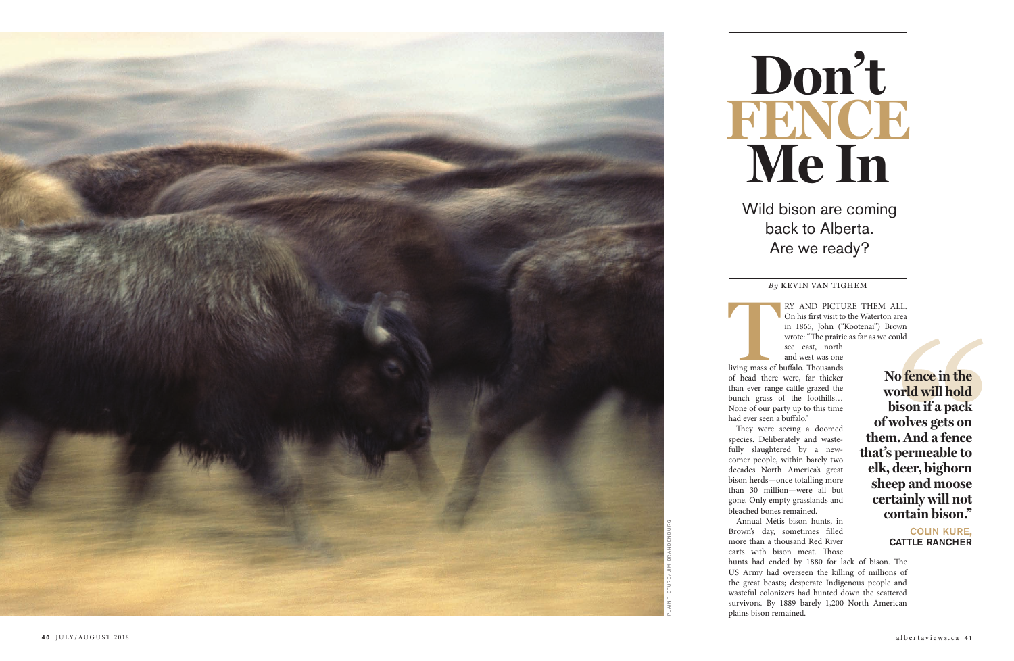On his first visit to the Waterton area in 1865, John ("Kootenai") Brown wrote: "The prairie as far as we could see east, north

and west was one living mass of buffalo. Thousands of head there were, far thicker than ever range cattle grazed the bunch grass of the foothills… None of our party up to this time had ever seen a buffalo."

They were seeing a doomed species. Deliberately and waste fully slaughtered by a new comer people, within barely two decades North America's great bison herds—once totalling more than 30 million—were all but gone. Only empty grasslands and bleached bones remained.



Annual Métis bison hunts, in Brown's day, sometimes filled more than a thousand Red River carts with bison meat. Those

hunts had ended by 1880 for lack of bison. The US Army had overseen the killing of millions of the great beasts; desperate Indigenous people and wasteful colonizers had hunted down the scattered survivors. By 1889 barely 1,200 North American

plains bison remained.

## **Don't FENCE Me In**

Wild bison are coming back to Alberta. Are we ready?

## *By* KEVIN VAN TIGHEM

**No fence in the world will hold bison if a pack of wolves gets on them. And a fence that's permeable to elk, deer, bighorn sheep and moose certainly will not contain bison."** 

colin kure, cattle rancher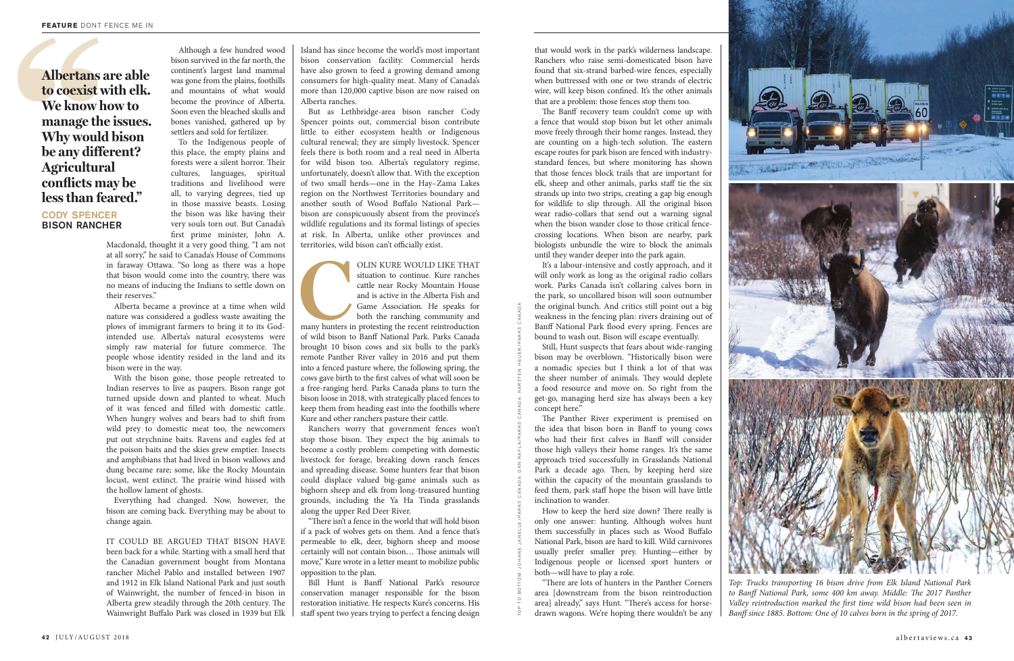that would work in the park's wilderness landscape. Ranchers who raise semi-domesticated bison have found that six-strand barbed-wire fences, especially when buttressed with one or two strands of electric wire, will keep bison confined. It's the other animals that are a problem: those fences stop them too.

The Banff recovery team couldn't come up with a fence that would stop bison but let other animals move freely through their home ranges. Instead, they are counting on a high-tech solution. The eastern escape routes for park bison are fenced with industrystandard fences, but where monitoring has shown that those fences block trails that are important for elk, sheep and other animals, parks staff tie the six strands up into two strips, creating a gap big enough for wildlife to slip through. All the original bison wear radio-collars that send out a warning signal when the bison wander close to those critical fencecrossing locations. When bison are nearby, park biologists unbundle the wire to block the animals until they wander deeper into the park again.

It's a labour-intensive and costly approach, and it will only work as long as the original radio collars work. Parks Canada isn't collaring calves born in the park, so uncollared bison will soon outnumber the original bunch. And critics still point out a big weakness in the fencing plan: rivers draining out of Banff National Park flood every spring. Fences are bound to wash out. Bison will escape eventually.

Still, Hunt suspects that fears about wide-ranging bison may be overblown. "Historically bison were a nomadic species but I think a lot of that was the sheer number of animals. They would deplete a food resource and move on. So right from the get-go, managing herd size has always been a key concept here."

The Panther River experiment is premised on the idea that bison born in Banff to young cows who had their first calves in Banff will consider those high valleys their home ranges. It's the same approach tried successfully in Grasslands National Park a decade ago. Then, by keeping herd size within the capacity of the mountain grasslands to feed them, park staff hope the bison will have little inclination to wander.

How to keep the herd size down? There really is only one answer: hunting. Although wolves hunt them successfully in places such as Wood Buffalo National Park, bison are hard to kill. Wild carnivores usually prefer smaller prey. Hunting—either by Indigenous people or licensed sport hunters or both—will have to play a role.

"There are lots of hunters in the Panther Corners area [downstream from the bison reintroduction area] already," says Hunt. "There's access for horsedrawn wagons. We're hoping there wouldn't be any

Although a few hundred wood bison survived in the far north, the continent's largest land mammal was gone from the plains, foothills and mountains of what would become the province of Alberta. Soon even the bleached skulls and bones vanished, gathered up by settlers and sold for fertilizer.

> OLIN KURE WOULD LIKE THAT<br>situation to continue. Kure ranches<br>cattle near Rocky Mountain House<br>and is active in the Alberta Fish and<br>Game Association. He speaks for<br>both the ranching community and<br>many hunters in protestin situation to continue. Kure ranches cattle near Rocky Mountain House and is active in the Alberta Fish and Game Association. He speaks for both the ranching community and

To the Indigenous people of this place, the empty plains and forests were a silent horror. Their cultures, languages, spiritual traditions and livelihood were all, to varying degrees, tied up in those massive beasts. Losing the bison was like having their very souls torn out. But Canada's first prime minister, John A.

Macdonald, thought it a very good thing. "I am not at all sorry," he said to Canada's House of Commons in faraway Ottawa. "So long as there was a hope that bison would come into the country, there was no means of inducing the Indians to settle down on their reserves."

Alberta became a province at a time when wild nature was considered a godless waste awaiting the plows of immigrant farmers to bring it to its Godintended use. Alberta's natural ecosystems were simply raw material for future commerce. The people whose identity resided in the land and its bison were in the way.

With the bison gone, those people retreated to Indian reserves to live as paupers. Bison range got turned upside down and planted to wheat. Much of it was fenced and filled with domestic cattle. When hungry wolves and bears had to shift from wild prey to domestic meat too, the newcomers put out strychnine baits. Ravens and eagles fed at the poison baits and the skies grew emptier. Insects and amphibians that had lived in bison wallows and dung became rare; some, like the Rocky Mountain locust, went extinct. The prairie wind hissed with the hollow lament of ghosts.

Everything had changed. Now, however, the bison are coming back. Everything may be about to change again.

IT COULD BE ARGUED THAT BISON HAVE been back for a while. Starting with a small herd that the Canadian government bought from Montana rancher Michel Pablo and installed between 1907 and 1912 in Elk Island National Park and just south of Wainwright, the number of fenced-in bison in Alberta grew steadily through the 20th century. The Wainwright Buffalo Park was closed in 1939 but Elk

Island has since become the world's most important bison conservation facility. Commercial herds have also grown to feed a growing demand among consumers for high-quality meat. Many of Canada's more than 120,000 captive bison are now raised on Alberta ranches.

But as Lethbridge-area bison rancher Cody Spencer points out, commercial bison contribute little to either ecosystem health or Indigenous cultural renewal; they are simply livestock. Spencer feels there is both room and a real need in Alberta for wild bison too. Alberta's regulatory regime, unfortunately, doesn't allow that. With the exception of two small herds—one in the Hay–Zama Lakes region on the Northwest Territories boundary and another south of Wood Buffalo National Park bison are conspicuously absent from the province's wildlife regulations and its formal listings of species at risk. In Alberta, unlike other provinces and territories, wild bison can't officially exist.

many hunters in protesting the recent reintroduction of wild bison to Banff National Park. Parks Canada brought 10 bison cows and six bulls to the park's remote Panther River valley in 2016 and put them into a fenced pasture where, the following spring, the cows gave birth to the first calves of what will soon be a free-ranging herd. Parks Canada plans to turn the bison loose in 2018, with strategically placed fences to keep them from heading east into the foothills where Kure and other ranchers pasture their cattle.

Ranchers worry that government fences won't stop those bison. They expect the big animals to become a costly problem: competing with domestic livestock for forage, breaking down ranch fences and spreading disease. Some hunters fear that bison could displace valued big-game animals such as bighorn sheep and elk from long-treasured hunting grounds, including the Ya Ha Tinda grasslands along the upper Red Deer River.

"There isn't a fence in the world that will hold bison if a pack of wolves gets on them. And a fence that's permeable to elk, deer, bighorn sheep and moose certainly will not contain bison… Those animals will move," Kure wrote in a letter meant to mobilize public opposition to the plan.

Bill Hunt is Banff National Park's resource conservation manager responsible for the bison restoration initiative. He respects Kure's concerns. His staff spent two years trying to perfect a fencing design

**Albertans are able to coexist with elk. We know how to manage the issues. Why would bison be any different? Agricultural conflicts may be less than feared."**

cody spencer bison rancher



*Top: Trucks transporting 16 bison drive from Elk Island National Park to Banff National Park, some 400 km away. Middle: The 2017 Panther Valley reintroduction marked the first time wild bison had been seen in Banff since 1885. Bottom: One of 10 calves born in the spring of 2017.*

TOP TO BOTTOM: JOHANE JANELLE/PARKS CANADA: DAN RAFLA/PARKS CANADA: KARSTEN HEUER/PARKS CANADA